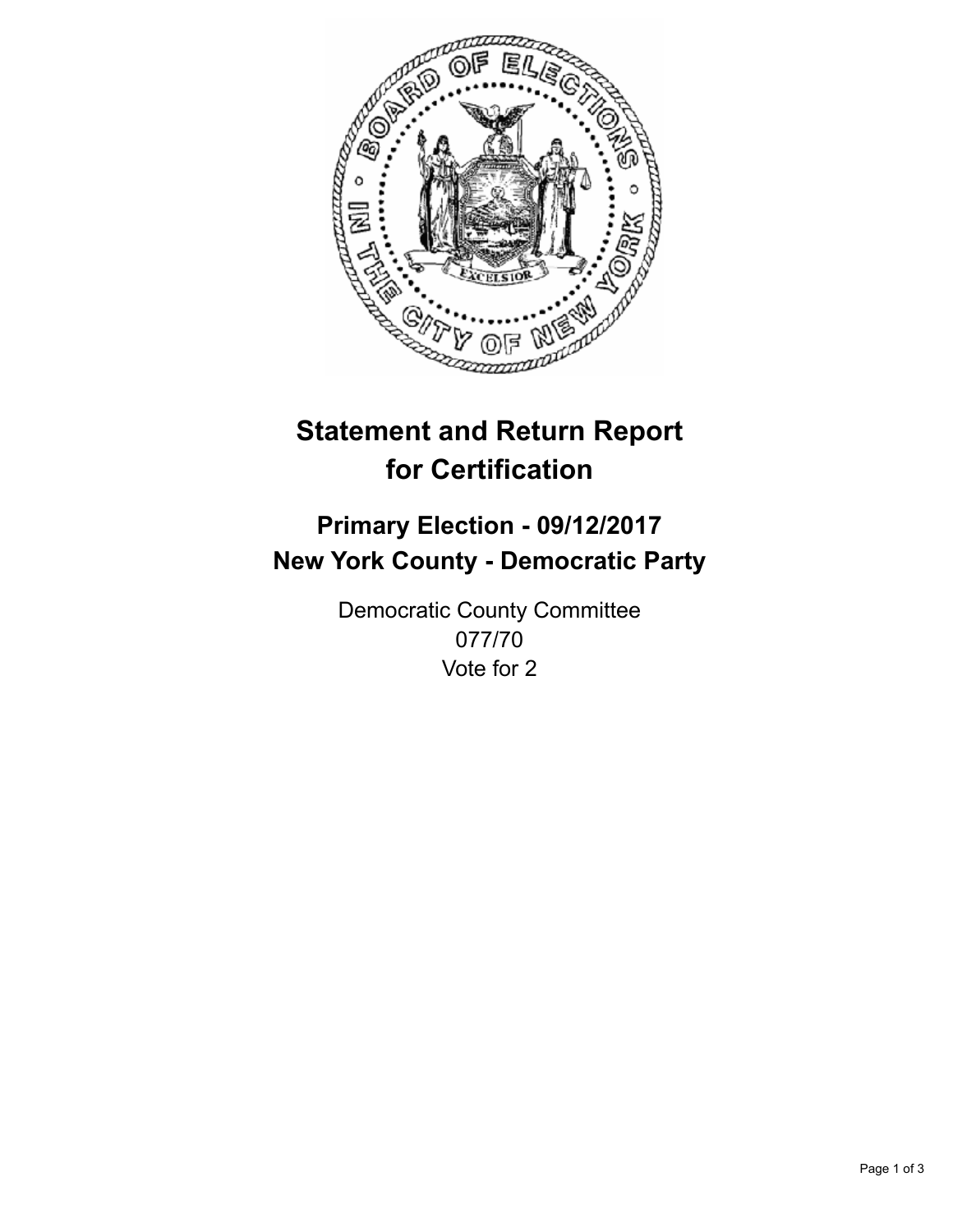

## **Statement and Return Report for Certification**

## **Primary Election - 09/12/2017 New York County - Democratic Party**

Democratic County Committee 077/70 Vote for 2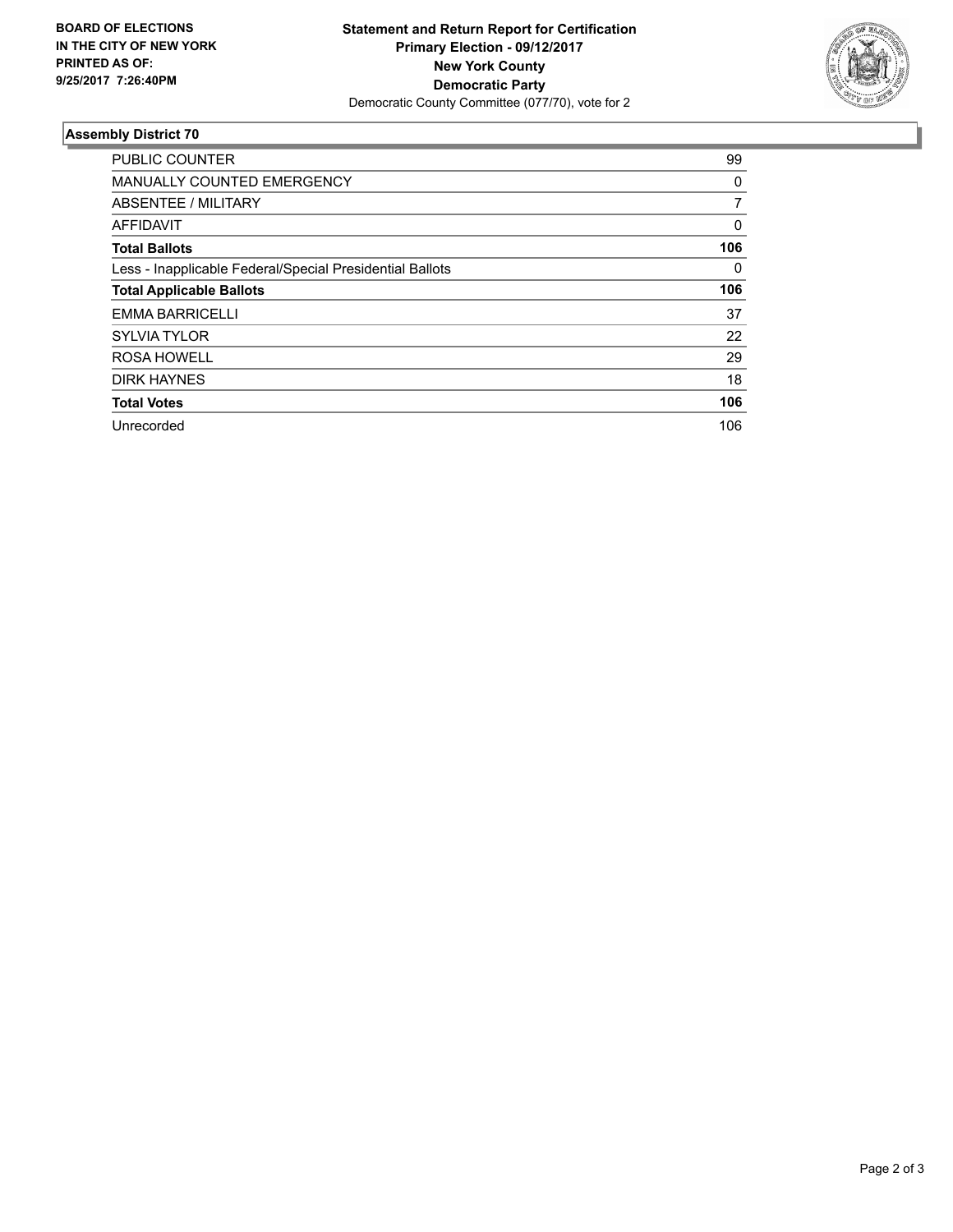

## **Assembly District 70**

| <b>PUBLIC COUNTER</b>                                    | 99             |
|----------------------------------------------------------|----------------|
| <b>MANUALLY COUNTED EMERGENCY</b>                        | 0              |
| ABSENTEE / MILITARY                                      | $\overline{7}$ |
| AFFIDAVIT                                                | $\Omega$       |
| <b>Total Ballots</b>                                     | 106            |
| Less - Inapplicable Federal/Special Presidential Ballots | 0              |
| <b>Total Applicable Ballots</b>                          | 106            |
| EMMA BARRICELLI                                          | 37             |
| <b>SYLVIA TYLOR</b>                                      | 22             |
| <b>ROSA HOWELL</b>                                       | 29             |
| <b>DIRK HAYNES</b>                                       | 18             |
| <b>Total Votes</b>                                       | 106            |
| Unrecorded                                               | 106            |